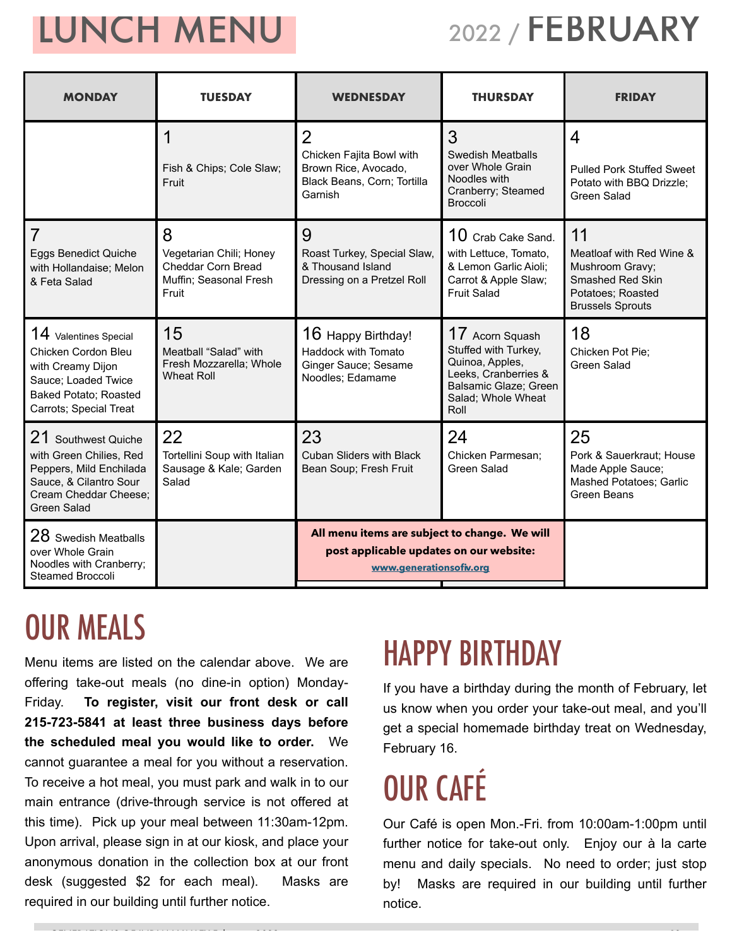## LUNCH MENU

## 2022 / FEBRUARY

| <b>MONDAY</b>                                                                                                                                      | <b>TUESDAY</b>                                                                        | <b>WEDNESDAY</b>                                                                                                    | <b>THURSDAY</b>                                                                                                                           | <b>FRIDAY</b>                                                                                                         |  |
|----------------------------------------------------------------------------------------------------------------------------------------------------|---------------------------------------------------------------------------------------|---------------------------------------------------------------------------------------------------------------------|-------------------------------------------------------------------------------------------------------------------------------------------|-----------------------------------------------------------------------------------------------------------------------|--|
|                                                                                                                                                    | Fish & Chips; Cole Slaw;<br>Fruit                                                     | $\overline{2}$<br>Chicken Fajita Bowl with<br>Brown Rice, Avocado,<br>Black Beans, Corn; Tortilla<br>Garnish        | 3<br><b>Swedish Meatballs</b><br>over Whole Grain<br>Noodles with<br>Cranberry; Steamed<br><b>Broccoli</b>                                | 4<br><b>Pulled Pork Stuffed Sweet</b><br>Potato with BBQ Drizzle;<br><b>Green Salad</b>                               |  |
| 7<br>Eggs Benedict Quiche<br>with Hollandaise; Melon<br>& Feta Salad                                                                               | 8<br>Vegetarian Chili; Honey<br>Cheddar Corn Bread<br>Muffin; Seasonal Fresh<br>Fruit | 9<br>Roast Turkey, Special Slaw,<br>& Thousand Island<br>Dressing on a Pretzel Roll                                 | $10$ Crab Cake Sand.<br>with Lettuce, Tomato,<br>& Lemon Garlic Aioli;<br>Carrot & Apple Slaw;<br><b>Fruit Salad</b>                      | 11<br>Meatloaf with Red Wine &<br>Mushroom Gravy;<br>Smashed Red Skin<br>Potatoes; Roasted<br><b>Brussels Sprouts</b> |  |
| 14 Valentines Special<br>Chicken Cordon Bleu<br>with Creamy Dijon<br>Sauce; Loaded Twice<br>Baked Potato; Roasted<br>Carrots; Special Treat        | 15<br>Meatball "Salad" with<br>Fresh Mozzarella; Whole<br><b>Wheat Roll</b>           | 16 Happy Birthday!<br>Haddock with Tomato<br>Ginger Sauce; Sesame<br>Noodles; Edamame                               | 17 Acorn Squash<br>Stuffed with Turkey,<br>Quinoa, Apples,<br>Leeks, Cranberries &<br>Balsamic Glaze; Green<br>Salad; Whole Wheat<br>Roll | 18<br>Chicken Pot Pie:<br>Green Salad                                                                                 |  |
| 21 Southwest Quiche<br>with Green Chilies, Red<br>Peppers, Mild Enchilada<br>Sauce, & Cilantro Sour<br>Cream Cheddar Cheese;<br><b>Green Salad</b> | 22<br>Tortellini Soup with Italian<br>Sausage & Kale; Garden<br>Salad                 | 23<br><b>Cuban Sliders with Black</b><br>Bean Soup; Fresh Fruit                                                     | 24<br>Chicken Parmesan;<br>Green Salad                                                                                                    | 25<br>Pork & Sauerkraut; House<br>Made Apple Sauce;<br><b>Mashed Potatoes; Garlic</b><br>Green Beans                  |  |
| 28 Swedish Meatballs<br>over Whole Grain<br>Noodles with Cranberry;<br><b>Steamed Broccoli</b>                                                     |                                                                                       | All menu items are subject to change. We will<br>post applicable updates on our website:<br>www.generationsofiv.org |                                                                                                                                           |                                                                                                                       |  |

## OUR MEALS

Menu items are listed on the calendar above. We are offering take-out meals (no dine-in option) Monday-Friday. **To register, visit our front desk or call 215-723-5841 at least three business days before the scheduled meal you would like to order.** We cannot guarantee a meal for you without a reservation. To receive a hot meal, you must park and walk in to our main entrance (drive-through service is not offered at this time). Pick up your meal between 11:30am-12pm. Upon arrival, please sign in at our kiosk, and place your anonymous donation in the collection box at our front desk (suggested \$2 for each meal). Masks are required in our building until further notice.

## HAPPY BIRTHDAY

If you have a birthday during the month of February, let us know when you order your take-out meal, and you'll get a special homemade birthday treat on Wednesday, February 16.

# OUR CAFÉ

 $G_{\rm eff}$  in  $G_{\rm eff}$  is the indian value of  $T_{\rm eff}$  february 2022 p.102 p.102 p.102 p.102 p.102 p.102 p.102 p.102 p.102 p.102 p.102 p.102 p.102 p.102 p.102 p.102 p.102 p.102 p.102 p.102 p.102 p.102 p.102 p.102 p.102 p.10

Our Café is open Mon.-Fri. from 10:00am-1:00pm until further notice for take-out only. Enjoy our à la carte menu and daily specials. No need to order; just stop by! Masks are required in our building until further notice.